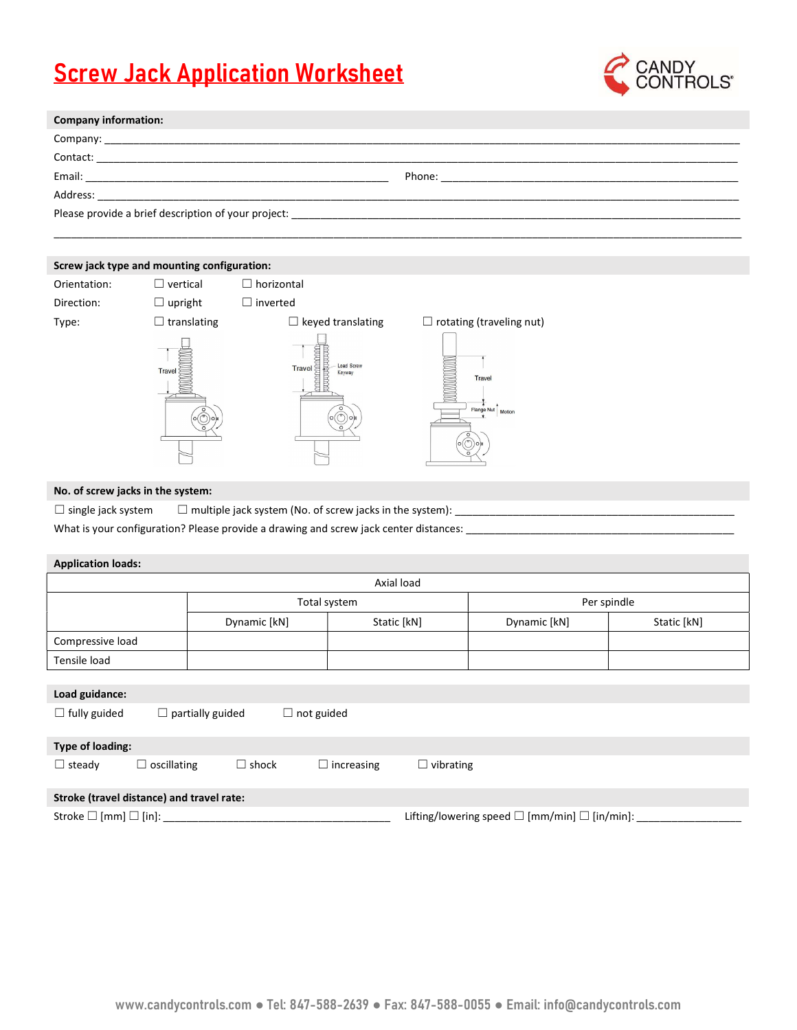## **Screw Jack Application Worksheet**



| <b>Company information:</b> |  |
|-----------------------------|--|
|                             |  |
|                             |  |
|                             |  |
| Address:                    |  |
|                             |  |
|                             |  |

## Screw jack type and mounting configuration:

| . .          | $\tilde{\phantom{a}}$ |                                                                                                                                                                        |                                 |
|--------------|-----------------------|------------------------------------------------------------------------------------------------------------------------------------------------------------------------|---------------------------------|
| Orientation: | $\Box$ vertical       | $\Box$ horizontal                                                                                                                                                      |                                 |
| Direction:   | $\Box$ upright        | inverted<br>$\mathbf{1}$                                                                                                                                               |                                 |
| Type:        | $\Box$ translating    | $\Box$ keyed translating                                                                                                                                               | $\Box$ rotating (traveling nut) |
|              | <b>Travel</b>         | $\begin{array}{c}\n\hline\n\end{array}$ $\begin{array}{c}\n\hline\n\end{array}$ $\begin{array}{c}\n\hline\n\end{array}$<br><b>THRAIREADHEA</b><br>Load Screw<br>Keyway | Travel<br>Flange Nut<br>Motion  |

## No. of screw jacks in the system:

 $\Box$  single jack system  $\Box$  multiple jack system (No. of screw jacks in the system):

What is your configuration? Please provide a drawing and screw jack center distances: \_

| <b>Application loads:</b> |              |                             |             |             |
|---------------------------|--------------|-----------------------------|-------------|-------------|
|                           |              | Axial load                  |             |             |
|                           | Total system |                             | Per spindle |             |
|                           | Dynamic [kN] | Static [kN]<br>Dynamic [kN] |             | Static [kN] |
| Compressive load          |              |                             |             |             |
| Tensile load              |              |                             |             |             |
|                           |              |                             |             |             |
| Load guidance:            |              |                             |             |             |

| ---- <i>--</i> --------               |                                           |              |                   |                                                               |  |
|---------------------------------------|-------------------------------------------|--------------|-------------------|---------------------------------------------------------------|--|
| $\Box$ fully guided                   | $\Box$ partially guided                   |              | $\Box$ not guided |                                                               |  |
| Type of loading:                      |                                           |              |                   |                                                               |  |
| $\Box$ steady                         | $\Box$ oscillating                        | $\Box$ shock | $\Box$ increasing | $\Box$ vibrating                                              |  |
|                                       | Stroke (travel distance) and travel rate: |              |                   |                                                               |  |
| Stroke $\square$ [mm] $\square$ [in]: |                                           |              |                   | Lifting/lowering speed $\square$ [mm/min] $\square$ [in/min]: |  |